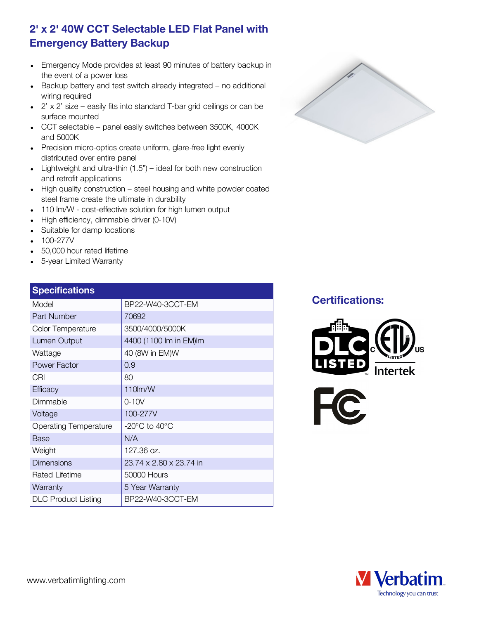## 2' x 2' 40W CCT Selectable LED Flat Panel with Emergency Battery Backup

- Emergency Mode provides at least 90 minutes of battery backup in the event of a power loss
- Backup battery and test switch already integrated no additional wiring required
- $\bullet$  2' x 2' size easily fits into standard T-bar grid ceilings or can be surface mounted
- CCT selectable panel easily switches between 3500K, 4000K and 5000K
- Precision micro-optics create uniform, glare-free light evenly distributed over entire panel
- Lightweight and ultra-thin  $(1.5")$  ideal for both new construction and retrofit applications
- High quality construction steel housing and white powder coated steel frame create the ultimate in durability
- 110 lm/W cost-effective solution for high lumen output
- High efficiency, dimmable driver (0-10V)
- Suitable for damp locations
- 100-277V
- 50,000 hour rated lifetime
- 5-year Limited Warranty

#### **Specifications** Model BP22-W40-3CCT-EM Part Number 70692 Color Temperature 3500/4000/5000K Lumen Output  $4400 (1100 \text{ Im in EM})$ Wattage  $|40 \text{ (8W in EM)}$ Power Factor 10.9 CRI 80 Efficacy 110lm/W Dimmable 0-10V Voltage 100-277V Operating Temperature | -20°C to 40°C  $Base$   $N/A$ Weight 127.36 oz. Dimensions 23.74 x 2.80 x 23.74 in



#### Certifications:







Rated Lifetime 50000 Hours Warranty **15 Year Warranty** DLC Product Listing | BP22-W40-3CCT-EM